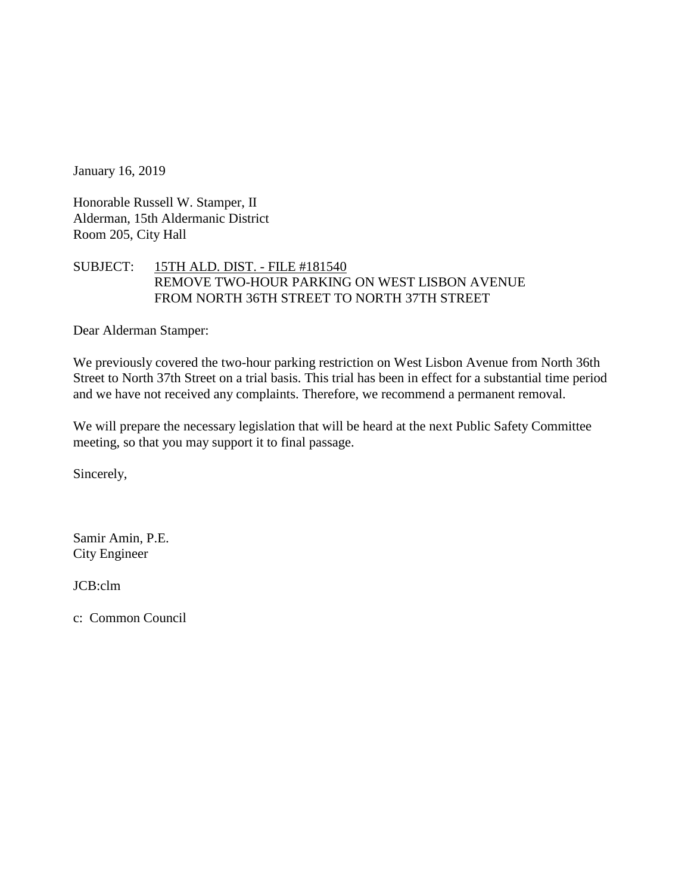January 16, 2019

Honorable Russell W. Stamper, II Alderman, 15th Aldermanic District Room 205, City Hall

## SUBJECT: 15TH ALD. DIST. - FILE #181540 REMOVE TWO-HOUR PARKING ON WEST LISBON AVENUE FROM NORTH 36TH STREET TO NORTH 37TH STREET

Dear Alderman Stamper:

We previously covered the two-hour parking restriction on West Lisbon Avenue from North 36th Street to North 37th Street on a trial basis. This trial has been in effect for a substantial time period and we have not received any complaints. Therefore, we recommend a permanent removal.

We will prepare the necessary legislation that will be heard at the next Public Safety Committee meeting, so that you may support it to final passage.

Sincerely,

Samir Amin, P.E. City Engineer

JCB:clm

c: Common Council